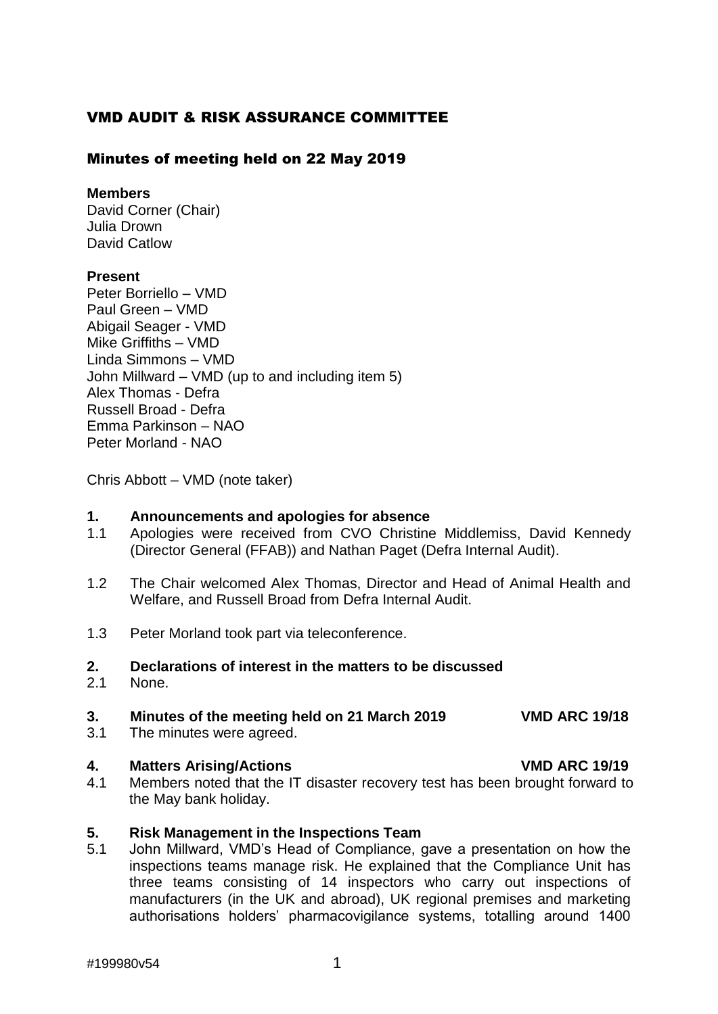# VMD AUDIT & RISK ASSURANCE COMMITTEE

## Minutes of meeting held on 22 May 2019

### **Members**

David Corner (Chair) Julia Drown David Catlow

### **Present**

Peter Borriello – VMD Paul Green – VMD Abigail Seager - VMD Mike Griffiths – VMD Linda Simmons – VMD John Millward – VMD (up to and including item 5) Alex Thomas - Defra Russell Broad - Defra Emma Parkinson – NAO Peter Morland - NAO

Chris Abbott – VMD (note taker)

# **1. Announcements and apologies for absence**

- 1.1 Apologies were received from CVO Christine Middlemiss, David Kennedy (Director General (FFAB)) and Nathan Paget (Defra Internal Audit).
- 1.2 The Chair welcomed Alex Thomas, Director and Head of Animal Health and Welfare, and Russell Broad from Defra Internal Audit.
- 1.3 Peter Morland took part via teleconference.

### **2. Declarations of interest in the matters to be discussed**

2.1 None.

# **3. Minutes of the meeting held on 21 March 2019 VMD ARC 19/18**

3.1 The minutes were agreed.

# **4. Matters Arising/Actions VMD ARC 19/19**

4.1 Members noted that the IT disaster recovery test has been brought forward to the May bank holiday.

# **5. Risk Management in the Inspections Team**

5.1 John Millward, VMD's Head of Compliance, gave a presentation on how the inspections teams manage risk. He explained that the Compliance Unit has three teams consisting of 14 inspectors who carry out inspections of manufacturers (in the UK and abroad), UK regional premises and marketing authorisations holders' pharmacovigilance systems, totalling around 1400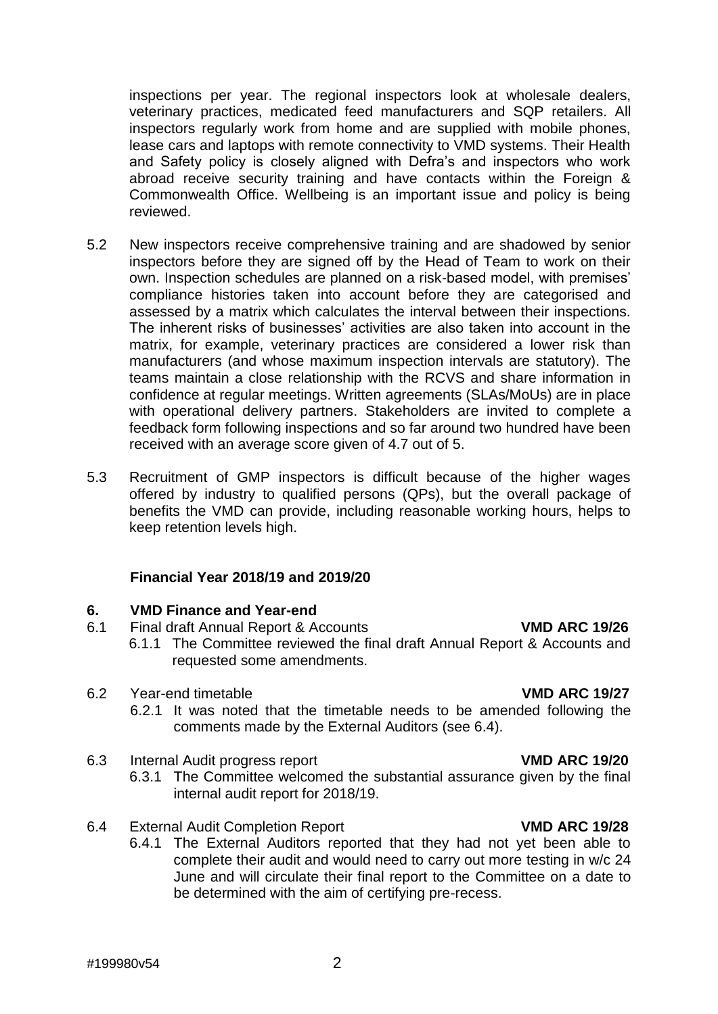teams maintain a close relationship with the RCVS and share information in confidence at regular meetings. Written agreements (SLAs/MoUs) are in place with operational delivery partners. Stakeholders are invited to complete a feedback form following inspections and so far around two hundred have been received with an average score given of 4.7 out of 5.

5.3 Recruitment of GMP inspectors is difficult because of the higher wages offered by industry to qualified persons (QPs), but the overall package of benefits the VMD can provide, including reasonable working hours, helps to keep retention levels high.

inspections per year. The regional inspectors look at wholesale dealers, veterinary practices, medicated feed manufacturers and SQP retailers. All inspectors regularly work from home and are supplied with mobile phones, lease cars and laptops with remote connectivity to VMD systems. Their Health and Safety policy is closely aligned with Defra's and inspectors who work abroad receive security training and have contacts within the Foreign & Commonwealth Office. Wellbeing is an important issue and policy is being

5.2 New inspectors receive comprehensive training and are shadowed by senior

inspectors before they are signed off by the Head of Team to work on their own. Inspection schedules are planned on a risk-based model, with premises' compliance histories taken into account before they are categorised and assessed by a matrix which calculates the interval between their inspections. The inherent risks of businesses' activities are also taken into account in the matrix, for example, veterinary practices are considered a lower risk than manufacturers (and whose maximum inspection intervals are statutory). The

### **Financial Year 2018/19 and 2019/20**

### **6. VMD Finance and Year-end**

- 6.1 Final draft Annual Report & Accounts **VMD ARC 19/26**
	- 6.1.1 The Committee reviewed the final draft Annual Report & Accounts and requested some amendments.
- 6.2 Year-end timetable **VMD ARC 19/27**

reviewed.

- 6.2.1 It was noted that the timetable needs to be amended following the comments made by the External Auditors (see 6.4).
- 6.3 Internal Audit progress report **VMD ARC 19/20**
	- 6.3.1 The Committee welcomed the substantial assurance given by the final internal audit report for 2018/19.
- 6.4 External Audit Completion Report **VMD ARC 19/28**
	- 6.4.1 The External Auditors reported that they had not yet been able to complete their audit and would need to carry out more testing in w/c 24 June and will circulate their final report to the Committee on a date to be determined with the aim of certifying pre-recess.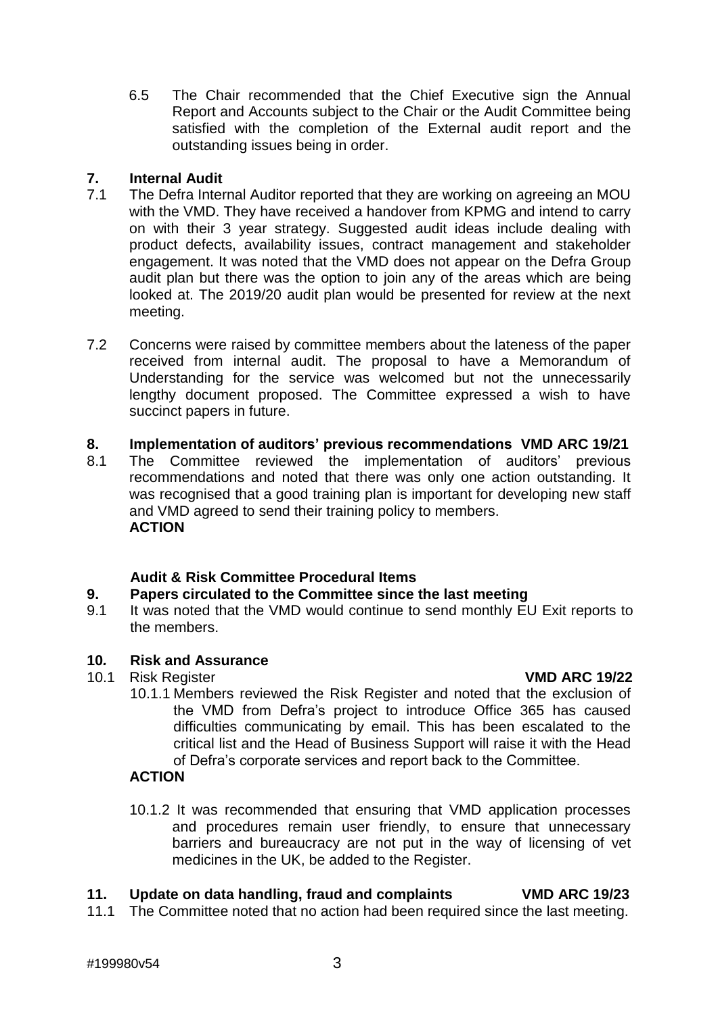6.5 The Chair recommended that the Chief Executive sign the Annual Report and Accounts subject to the Chair or the Audit Committee being satisfied with the completion of the External audit report and the outstanding issues being in order.

### **7. Internal Audit**

- 7.1 The Defra Internal Auditor reported that they are working on agreeing an MOU with the VMD. They have received a handover from KPMG and intend to carry on with their 3 year strategy. Suggested audit ideas include dealing with product defects, availability issues, contract management and stakeholder engagement. It was noted that the VMD does not appear on the Defra Group audit plan but there was the option to join any of the areas which are being looked at. The 2019/20 audit plan would be presented for review at the next meeting.
- 7.2 Concerns were raised by committee members about the lateness of the paper received from internal audit. The proposal to have a Memorandum of Understanding for the service was welcomed but not the unnecessarily lengthy document proposed. The Committee expressed a wish to have succinct papers in future.
- **8. Implementation of auditors' previous recommendations VMD ARC 19/21**
- 8.1 The Committee reviewed the implementation of auditors' previous recommendations and noted that there was only one action outstanding. It was recognised that a good training plan is important for developing new staff and VMD agreed to send their training policy to members. **ACTION**

### **Audit & Risk Committee Procedural Items**

### **9. Papers circulated to the Committee since the last meeting**

9.1 It was noted that the VMD would continue to send monthly EU Exit reports to the members.

### **10***.* **Risk and Assurance**

10.1 Risk Register **VMD ARC 19/22**

- 
- 10.1.1 Members reviewed the Risk Register and noted that the exclusion of the VMD from Defra's project to introduce Office 365 has caused difficulties communicating by email. This has been escalated to the critical list and the Head of Business Support will raise it with the Head of Defra's corporate services and report back to the Committee.

### **ACTION**

10.1.2 It was recommended that ensuring that VMD application processes and procedures remain user friendly, to ensure that unnecessary barriers and bureaucracy are not put in the way of licensing of vet medicines in the UK, be added to the Register.

### **11. Update on data handling, fraud and complaints VMD ARC 19/23**

11.1 The Committee noted that no action had been required since the last meeting.